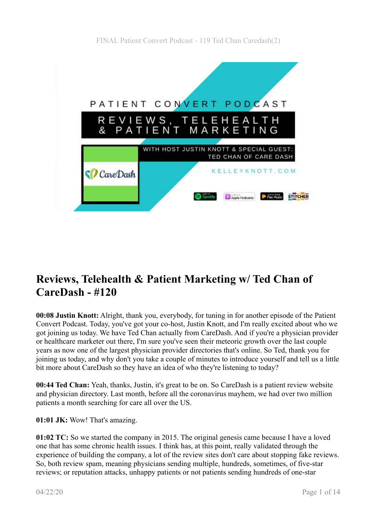

# **Reviews, Telehealth & Patient Marketing w/ Ted Chan of CareDash - #120**

**00:08 Justin Knott:** Alright, thank you, everybody, for tuning in for another episode of the Patient Convert Podcast. Today, you've got your co-host, Justin Knott, and I'm really excited about who we got joining us today. We have Ted Chan actually from CareDash. And if you're a physician provider or healthcare marketer out there, I'm sure you've seen their meteoric growth over the last couple years as now one of the largest physician provider directories that's online. So Ted, thank you for joining us today, and why don't you take a couple of minutes to introduce yourself and tell us a little bit more about CareDash so they have an idea of who they're listening to today?

**00:44 Ted Chan:** Yeah, thanks, Justin, it's great to be on. So CareDash is a patient review website and physician directory. Last month, before all the coronavirus mayhem, we had over two million patients a month searching for care all over the US.

**01:01 JK:** Wow! That's amazing.

**01:02 TC:** So we started the company in 2015. The original genesis came because I have a loved one that has some chronic health issues. I think has, at this point, really validated through the experience of building the company, a lot of the review sites don't care about stopping fake reviews. So, both review spam, meaning physicians sending multiple, hundreds, sometimes, of five-star reviews; or reputation attacks, unhappy patients or not patients sending hundreds of one-star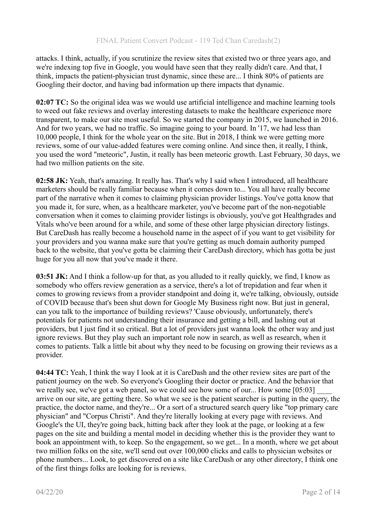attacks. I think, actually, if you scrutinize the review sites that existed two or three years ago, and we're indexing top five in Google, you would have seen that they really didn't care. And that, I think, impacts the patient-physician trust dynamic, since these are... I think 80% of patients are Googling their doctor, and having bad information up there impacts that dynamic.

**02:07 TC:** So the original idea was we would use artificial intelligence and machine learning tools to weed out fake reviews and overlay interesting datasets to make the healthcare experience more transparent, to make our site most useful. So we started the company in 2015, we launched in 2016. And for two years, we had no traffic. So imagine going to your board. In '17, we had less than 10,000 people, I think for the whole year on the site. But in 2018, I think we were getting more reviews, some of our value-added features were coming online. And since then, it really, I think, you used the word "meteoric", Justin, it really has been meteoric growth. Last February, 30 days, we had two million patients on the site.

**02:58 JK:** Yeah, that's amazing. It really has. That's why I said when I introduced, all healthcare marketers should be really familiar because when it comes down to... You all have really become part of the narrative when it comes to claiming physician provider listings. You've gotta know that you made it, for sure, when, as a healthcare marketer, you've become part of the non-negotiable conversation when it comes to claiming provider listings is obviously, you've got Healthgrades and Vitals who've been around for a while, and some of these other large physician directory listings. But CareDash has really become a household name in the aspect of if you want to get visibility for your providers and you wanna make sure that you're getting as much domain authority pumped back to the website, that you've gotta be claiming their CareDash directory, which has gotta be just huge for you all now that you've made it there.

**03:51 JK:** And I think a follow-up for that, as you alluded to it really quickly, we find, I know as somebody who offers review generation as a service, there's a lot of trepidation and fear when it comes to growing reviews from a provider standpoint and doing it, we're talking, obviously, outside of COVID because that's been shut down for Google My Business right now. But just in general, can you talk to the importance of building reviews? 'Cause obviously, unfortunately, there's potentials for patients not understanding their insurance and getting a bill, and lashing out at providers, but I just find it so critical. But a lot of providers just wanna look the other way and just ignore reviews. But they play such an important role now in search, as well as research, when it comes to patients. Talk a little bit about why they need to be focusing on growing their reviews as a provider.

**04:44 TC:** Yeah, I think the way I look at it is CareDash and the other review sites are part of the patient journey on the web. So everyone's Googling their doctor or practice. And the behavior that we really see, we've got a web panel, so we could see how some of our... How some  $[05:03]$ arrive on our site, are getting there. So what we see is the patient searcher is putting in the query, the practice, the doctor name, and they're... Or a sort of a structured search query like "top primary care physician" and "Corpus Christi". And they're literally looking at every page with reviews. And Google's the UI, they're going back, hitting back after they look at the page, or looking at a few pages on the site and building a mental model in deciding whether this is the provider they want to book an appointment with, to keep. So the engagement, so we get... In a month, where we get about two million folks on the site, we'll send out over 100,000 clicks and calls to physician websites or phone numbers... Look, to get discovered on a site like CareDash or any other directory, I think one of the first things folks are looking for is reviews.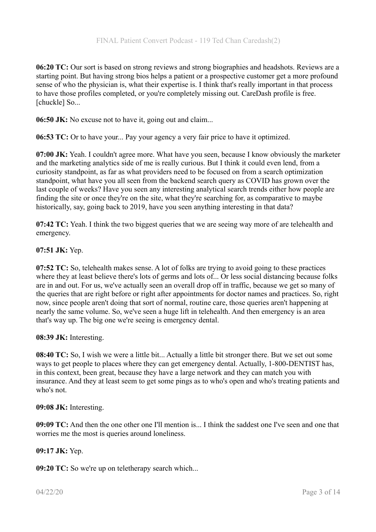**06:20 TC:** Our sort is based on strong reviews and strong biographies and headshots. Reviews are a starting point. But having strong bios helps a patient or a prospective customer get a more profound sense of who the physician is, what their expertise is. I think that's really important in that process to have those profiles completed, or you're completely missing out. CareDash profile is free. [chuckle] So...

**06:50 JK:** No excuse not to have it, going out and claim...

**06:53 TC:** Or to have your... Pay your agency a very fair price to have it optimized.

**07:00 JK:** Yeah. I couldn't agree more. What have you seen, because I know obviously the marketer and the marketing analytics side of me is really curious. But I think it could even lend, from a curiosity standpoint, as far as what providers need to be focused on from a search optimization standpoint, what have you all seen from the backend search query as COVID has grown over the last couple of weeks? Have you seen any interesting analytical search trends either how people are finding the site or once they're on the site, what they're searching for, as comparative to maybe historically, say, going back to 2019, have you seen anything interesting in that data?

**07:42 TC:** Yeah. I think the two biggest queries that we are seeing way more of are telehealth and emergency.

#### **07:51 JK:** Yep.

**07:52 TC:** So, telehealth makes sense. A lot of folks are trying to avoid going to these practices where they at least believe there's lots of germs and lots of... Or less social distancing because folks are in and out. For us, we've actually seen an overall drop off in traffic, because we get so many of the queries that are right before or right after appointments for doctor names and practices. So, right now, since people aren't doing that sort of normal, routine care, those queries aren't happening at nearly the same volume. So, we've seen a huge lift in telehealth. And then emergency is an area that's way up. The big one we're seeing is emergency dental.

**08:39 JK:** Interesting.

**08:40 TC:** So, I wish we were a little bit... Actually a little bit stronger there. But we set out some ways to get people to places where they can get emergency dental. Actually, 1-800-DENTIST has, in this context, been great, because they have a large network and they can match you with insurance. And they at least seem to get some pings as to who's open and who's treating patients and who's not.

## **09:08 JK:** Interesting.

**09:09 TC:** And then the one other one I'll mention is... I think the saddest one I've seen and one that worries me the most is queries around loneliness.

## **09:17 JK:** Yep.

**09:20 TC:** So we're up on teletherapy search which...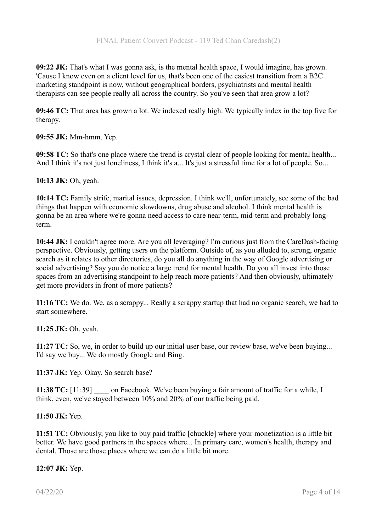**09:22 JK:** That's what I was gonna ask, is the mental health space, I would imagine, has grown. 'Cause I know even on a client level for us, that's been one of the easiest transition from a B2C marketing standpoint is now, without geographical borders, psychiatrists and mental health therapists can see people really all across the country. So you've seen that area grow a lot?

**09:46 TC:** That area has grown a lot. We indexed really high. We typically index in the top five for therapy.

**09:55 JK:** Mm-hmm. Yep.

**09:58 TC:** So that's one place where the trend is crystal clear of people looking for mental health... And I think it's not just loneliness, I think it's a... It's just a stressful time for a lot of people. So...

**10:13 JK:** Oh, yeah.

**10:14 TC:** Family strife, marital issues, depression. I think we'll, unfortunately, see some of the bad things that happen with economic slowdowns, drug abuse and alcohol. I think mental health is gonna be an area where we're gonna need access to care near-term, mid-term and probably longterm.

**10:44 JK:** I couldn't agree more. Are you all leveraging? I'm curious just from the CareDash-facing perspective. Obviously, getting users on the platform. Outside of, as you alluded to, strong, organic search as it relates to other directories, do you all do anything in the way of Google advertising or social advertising? Say you do notice a large trend for mental health. Do you all invest into those spaces from an advertising standpoint to help reach more patients? And then obviously, ultimately get more providers in front of more patients?

**11:16 TC:** We do. We, as a scrappy... Really a scrappy startup that had no organic search, we had to start somewhere.

**11:25 JK:** Oh, yeah.

**11:27 TC:** So, we, in order to build up our initial user base, our review base, we've been buying... I'd say we buy... We do mostly Google and Bing.

**11:37 JK:** Yep. Okay. So search base?

**11:38 TC:** [11:39] on Facebook. We've been buying a fair amount of traffic for a while, I think, even, we've stayed between 10% and 20% of our traffic being paid.

## **11:50 JK:** Yep.

**11:51 TC:** Obviously, you like to buy paid traffic [chuckle] where your monetization is a little bit better. We have good partners in the spaces where... In primary care, women's health, therapy and dental. Those are those places where we can do a little bit more.

**12:07 JK:** Yep.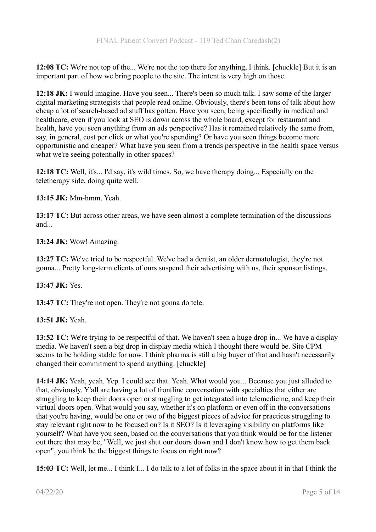**12:08 TC:** We're not top of the... We're not the top there for anything, I think. [chuckle] But it is an important part of how we bring people to the site. The intent is very high on those.

**12:18 JK:** I would imagine. Have you seen... There's been so much talk. I saw some of the larger digital marketing strategists that people read online. Obviously, there's been tons of talk about how cheap a lot of search-based ad stuff has gotten. Have you seen, being specifically in medical and healthcare, even if you look at SEO is down across the whole board, except for restaurant and health, have you seen anything from an ads perspective? Has it remained relatively the same from, say, in general, cost per click or what you're spending? Or have you seen things become more opportunistic and cheaper? What have you seen from a trends perspective in the health space versus what we're seeing potentially in other spaces?

**12:18 TC:** Well, it's... I'd say, it's wild times. So, we have therapy doing... Especially on the teletherapy side, doing quite well.

**13:15 JK:** Mm-hmm. Yeah.

**13:17 TC:** But across other areas, we have seen almost a complete termination of the discussions and...

**13:24 JK:** Wow! Amazing.

**13:27 TC:** We've tried to be respectful. We've had a dentist, an older dermatologist, they're not gonna... Pretty long-term clients of ours suspend their advertising with us, their sponsor listings.

**13:47 JK:** Yes.

**13:47 TC:** They're not open. They're not gonna do tele.

## **13:51 JK:** Yeah.

**13:52 TC:** We're trying to be respectful of that. We haven't seen a huge drop in... We have a display media. We haven't seen a big drop in display media which I thought there would be. Site CPM seems to be holding stable for now. I think pharma is still a big buyer of that and hasn't necessarily changed their commitment to spend anything. [chuckle]

**14:14 JK:** Yeah, yeah. Yep. I could see that. Yeah. What would you... Because you just alluded to that, obviously. Y'all are having a lot of frontline conversation with specialties that either are struggling to keep their doors open or struggling to get integrated into telemedicine, and keep their virtual doors open. What would you say, whether it's on platform or even off in the conversations that you're having, would be one or two of the biggest pieces of advice for practices struggling to stay relevant right now to be focused on? Is it SEO? Is it leveraging visibility on platforms like yourself? What have you seen, based on the conversations that you think would be for the listener out there that may be, "Well, we just shut our doors down and I don't know how to get them back open", you think be the biggest things to focus on right now?

**15:03 TC:** Well, let me... I think I... I do talk to a lot of folks in the space about it in that I think the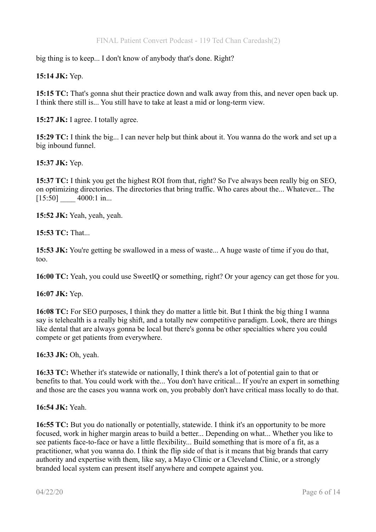big thing is to keep... I don't know of anybody that's done. Right?

## **15:14 JK:** Yep.

**15:15 TC:** That's gonna shut their practice down and walk away from this, and never open back up. I think there still is... You still have to take at least a mid or long-term view.

**15:27 JK:** I agree. I totally agree.

**15:29 TC:** I think the big... I can never help but think about it. You wanna do the work and set up a big inbound funnel.

#### **15:37 JK:** Yep.

**15:37 TC:** I think you get the highest ROI from that, right? So I've always been really big on SEO, on optimizing directories. The directories that bring traffic. Who cares about the... Whatever... The  $[15:50]$   $4000:1$  in...

**15:52 JK:** Yeah, yeah, yeah.

**15:53 TC:** That...

**15:53 JK:** You're getting be swallowed in a mess of waste... A huge waste of time if you do that, too.

**16:00 TC:** Yeah, you could use SweetIQ or something, right? Or your agency can get those for you.

**16:07 JK:** Yep.

**16:08 TC:** For SEO purposes, I think they do matter a little bit. But I think the big thing I wanna say is telehealth is a really big shift, and a totally new competitive paradigm. Look, there are things like dental that are always gonna be local but there's gonna be other specialties where you could compete or get patients from everywhere.

**16:33 JK:** Oh, yeah.

**16:33 TC:** Whether it's statewide or nationally, I think there's a lot of potential gain to that or benefits to that. You could work with the... You don't have critical... If you're an expert in something and those are the cases you wanna work on, you probably don't have critical mass locally to do that.

**16:54 JK:** Yeah.

**16:55 TC:** But you do nationally or potentially, statewide. I think it's an opportunity to be more focused, work in higher margin areas to build a better... Depending on what... Whether you like to see patients face-to-face or have a little flexibility... Build something that is more of a fit, as a practitioner, what you wanna do. I think the flip side of that is it means that big brands that carry authority and expertise with them, like say, a Mayo Clinic or a Cleveland Clinic, or a strongly branded local system can present itself anywhere and compete against you.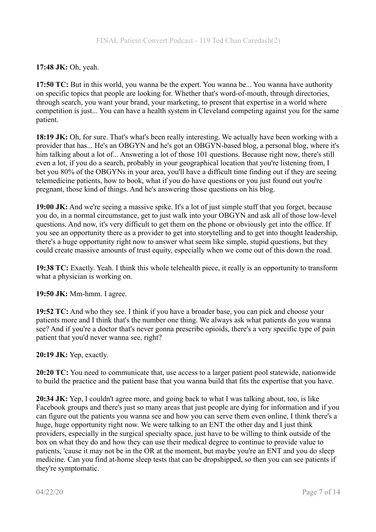# **17:48 JK:** Oh, yeah.

**17:50 TC:** But in this world, you wanna be the expert. You wanna be... You wanna have authority on specific topics that people are looking for. Whether that's word-of-mouth, through directories, through search, you want your brand, your marketing, to present that expertise in a world where competition is just... You can have a health system in Cleveland competing against you for the same patient.

**18:19 JK:** Oh, for sure. That's what's been really interesting. We actually have been working with a provider that has... He's an OBGYN and he's got an OBGYN-based blog, a personal blog, where it's him talking about a lot of... Answering a lot of those 101 questions. Because right now, there's still even a lot, if you do a search, probably in your geographical location that you're listening from, I bet you 80% of the OBGYNs in your area, you'll have a difficult time finding out if they are seeing telemedicine patients, how to book, what if you do have questions or you just found out you're pregnant, those kind of things. And he's answering those questions on his blog.

**19:00 JK:** And we're seeing a massive spike. It's a lot of just simple stuff that you forget, because you do, in a normal circumstance, get to just walk into your OBGYN and ask all of those low-level questions. And now, it's very difficult to get them on the phone or obviously get into the office. If you see an opportunity there as a provider to get into storytelling and to get into thought leadership, there's a huge opportunity right now to answer what seem like simple, stupid questions, but they could create massive amounts of trust equity, especially when we come out of this down the road.

**19:38 TC:** Exactly. Yeah. I think this whole telehealth piece, it really is an opportunity to transform what a physician is working on.

**19:50 JK:** Mm-hmm. I agree.

**19:52 TC:** And who they see. I think if you have a broader base, you can pick and choose your patients more and I think that's the number one thing. We always ask what patients do you wanna see? And if you're a doctor that's never gonna prescribe opioids, there's a very specific type of pain patient that you'd never wanna see, right?

## **20:19 JK:** Yep, exactly.

**20:20 TC:** You need to communicate that, use access to a larger patient pool statewide, nationwide to build the practice and the patient base that you wanna build that fits the expertise that you have.

**20:34 JK:** Yep, I couldn't agree more, and going back to what I was talking about, too, is like Facebook groups and there's just so many areas that just people are dying for information and if you can figure out the patients you wanna see and how you can serve them even online, I think there's a huge, huge opportunity right now. We were talking to an ENT the other day and I just think providers, especially in the surgical specialty space, just have to be willing to think outside of the box on what they do and how they can use their medical degree to continue to provide value to patients, 'cause it may not be in the OR at the moment, but maybe you're an ENT and you do sleep medicine. Can you find at-home sleep tests that can be dropshipped, so then you can see patients if they're symptomatic.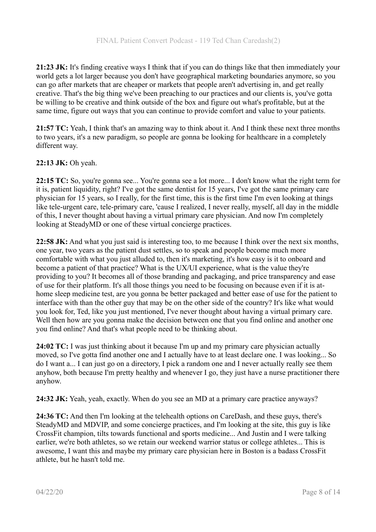**21:23 JK:** It's finding creative ways I think that if you can do things like that then immediately your world gets a lot larger because you don't have geographical marketing boundaries anymore, so you can go after markets that are cheaper or markets that people aren't advertising in, and get really creative. That's the big thing we've been preaching to our practices and our clients is, you've gotta be willing to be creative and think outside of the box and figure out what's profitable, but at the same time, figure out ways that you can continue to provide comfort and value to your patients.

**21:57 TC:** Yeah, I think that's an amazing way to think about it. And I think these next three months to two years, it's a new paradigm, so people are gonna be looking for healthcare in a completely different way.

## **22:13 JK:** Oh yeah.

**22:15 TC:** So, you're gonna see... You're gonna see a lot more... I don't know what the right term for it is, patient liquidity, right? I've got the same dentist for 15 years, I've got the same primary care physician for 15 years, so I really, for the first time, this is the first time I'm even looking at things like tele-urgent care, tele-primary care, 'cause I realized, I never really, myself, all day in the middle of this, I never thought about having a virtual primary care physician. And now I'm completely looking at SteadyMD or one of these virtual concierge practices.

**22:58 JK:** And what you just said is interesting too, to me because I think over the next six months, one year, two years as the patient dust settles, so to speak and people become much more comfortable with what you just alluded to, then it's marketing, it's how easy is it to onboard and become a patient of that practice? What is the UX/UI experience, what is the value they're providing to you? It becomes all of those branding and packaging, and price transparency and ease of use for their platform. It's all those things you need to be focusing on because even if it is athome sleep medicine test, are you gonna be better packaged and better ease of use for the patient to interface with than the other guy that may be on the other side of the country? It's like what would you look for, Ted, like you just mentioned, I've never thought about having a virtual primary care. Well then how are you gonna make the decision between one that you find online and another one you find online? And that's what people need to be thinking about.

**24:02 TC:** I was just thinking about it because I'm up and my primary care physician actually moved, so I've gotta find another one and I actually have to at least declare one. I was looking... So do I want a... I can just go on a directory, I pick a random one and I never actually really see them anyhow, both because I'm pretty healthy and whenever I go, they just have a nurse practitioner there anyhow.

**24:32 JK:** Yeah, yeah, exactly. When do you see an MD at a primary care practice anyways?

**24:36 TC:** And then I'm looking at the telehealth options on CareDash, and these guys, there's SteadyMD and MDVIP, and some concierge practices, and I'm looking at the site, this guy is like CrossFit champion, tilts towards functional and sports medicine... And Justin and I were talking earlier, we're both athletes, so we retain our weekend warrior status or college athletes... This is awesome, I want this and maybe my primary care physician here in Boston is a badass CrossFit athlete, but he hasn't told me.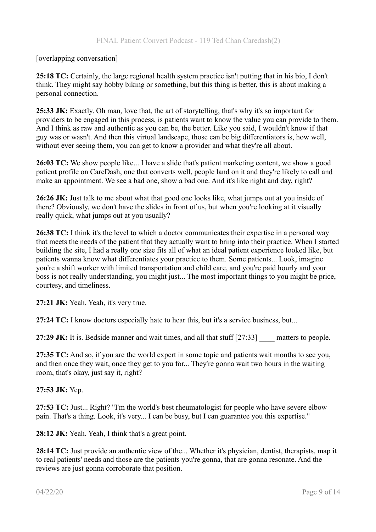#### [overlapping conversation]

**25:18 TC:** Certainly, the large regional health system practice isn't putting that in his bio, I don't think. They might say hobby biking or something, but this thing is better, this is about making a personal connection.

**25:33 JK:** Exactly. Oh man, love that, the art of storytelling, that's why it's so important for providers to be engaged in this process, is patients want to know the value you can provide to them. And I think as raw and authentic as you can be, the better. Like you said, I wouldn't know if that guy was or wasn't. And then this virtual landscape, those can be big differentiators is, how well, without ever seeing them, you can get to know a provider and what they're all about.

**26:03 TC:** We show people like... I have a slide that's patient marketing content, we show a good patient profile on CareDash, one that converts well, people land on it and they're likely to call and make an appointment. We see a bad one, show a bad one. And it's like night and day, right?

**26:26 JK:** Just talk to me about what that good one looks like, what jumps out at you inside of there? Obviously, we don't have the slides in front of us, but when you're looking at it visually really quick, what jumps out at you usually?

**26:38 TC:** I think it's the level to which a doctor communicates their expertise in a personal way that meets the needs of the patient that they actually want to bring into their practice. When I started building the site, I had a really one size fits all of what an ideal patient experience looked like, but patients wanna know what differentiates your practice to them. Some patients... Look, imagine you're a shift worker with limited transportation and child care, and you're paid hourly and your boss is not really understanding, you might just... The most important things to you might be price, courtesy, and timeliness.

**27:21 JK:** Yeah. Yeah, it's very true.

**27:24 TC:** I know doctors especially hate to hear this, but it's a service business, but...

27:29 JK: It is. Bedside manner and wait times, and all that stuff [27:33] matters to people.

**27:35 TC:** And so, if you are the world expert in some topic and patients wait months to see you, and then once they wait, once they get to you for... They're gonna wait two hours in the waiting room, that's okay, just say it, right?

#### **27:53 JK:** Yep.

**27:53 TC:** Just... Right? "I'm the world's best rheumatologist for people who have severe elbow pain. That's a thing. Look, it's very... I can be busy, but I can guarantee you this expertise."

**28:12 JK:** Yeah. Yeah, I think that's a great point.

**28:14 TC:** Just provide an authentic view of the... Whether it's physician, dentist, therapists, map it to real patients' needs and those are the patients you're gonna, that are gonna resonate. And the reviews are just gonna corroborate that position.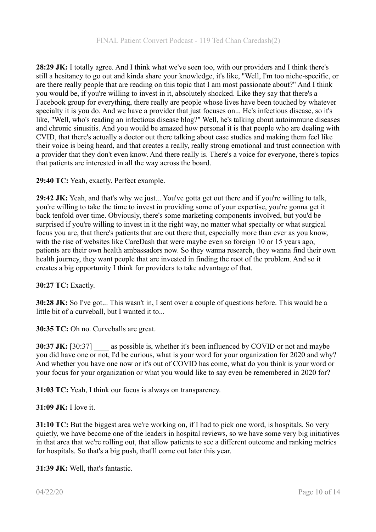**28:29 JK:** I totally agree. And I think what we've seen too, with our providers and I think there's still a hesitancy to go out and kinda share your knowledge, it's like, "Well, I'm too niche-specific, or are there really people that are reading on this topic that I am most passionate about?" And I think you would be, if you're willing to invest in it, absolutely shocked. Like they say that there's a Facebook group for everything, there really are people whose lives have been touched by whatever specialty it is you do. And we have a provider that just focuses on... He's infectious disease, so it's like, "Well, who's reading an infectious disease blog?" Well, he's talking about autoimmune diseases and chronic sinusitis. And you would be amazed how personal it is that people who are dealing with CVID, that there's actually a doctor out there talking about case studies and making them feel like their voice is being heard, and that creates a really, really strong emotional and trust connection with a provider that they don't even know. And there really is. There's a voice for everyone, there's topics that patients are interested in all the way across the board.

**29:40 TC:** Yeah, exactly. Perfect example.

**29:42 JK:** Yeah, and that's why we just... You've gotta get out there and if you're willing to talk, you're willing to take the time to invest in providing some of your expertise, you're gonna get it back tenfold over time. Obviously, there's some marketing components involved, but you'd be surprised if you're willing to invest in it the right way, no matter what specialty or what surgical focus you are, that there's patients that are out there that, especially more than ever as you know, with the rise of websites like CareDash that were maybe even so foreign 10 or 15 years ago, patients are their own health ambassadors now. So they wanna research, they wanna find their own health journey, they want people that are invested in finding the root of the problem. And so it creates a big opportunity I think for providers to take advantage of that.

## **30:27 TC:** Exactly.

**30:28 JK:** So I've got... This wasn't in, I sent over a couple of questions before. This would be a little bit of a curveball, but I wanted it to...

**30:35 TC:** Oh no. Curveballs are great.

**30:37 JK:** [30:37] as possible is, whether it's been influenced by COVID or not and maybe you did have one or not, I'd be curious, what is your word for your organization for 2020 and why? And whether you have one now or it's out of COVID has come, what do you think is your word or your focus for your organization or what you would like to say even be remembered in 2020 for?

**31:03 TC:** Yeah, I think our focus is always on transparency.

## **31:09 JK:** I love it.

**31:10 TC:** But the biggest area we're working on, if I had to pick one word, is hospitals. So very quietly, we have become one of the leaders in hospital reviews, so we have some very big initiatives in that area that we're rolling out, that allow patients to see a different outcome and ranking metrics for hospitals. So that's a big push, that'll come out later this year.

**31:39 JK:** Well, that's fantastic.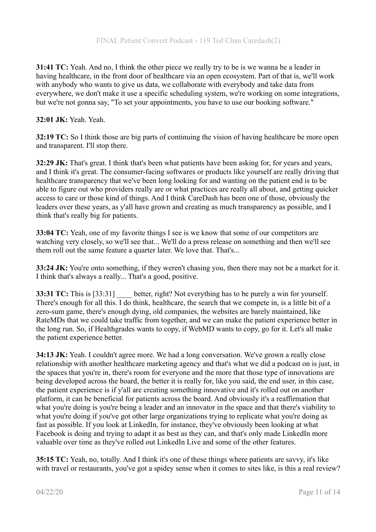**31:41 TC:** Yeah. And no, I think the other piece we really try to be is we wanna be a leader in having healthcare, in the front door of healthcare via an open ecosystem. Part of that is, we'll work with anybody who wants to give us data, we collaborate with everybody and take data from everywhere, we don't make it use a specific scheduling system, we're working on some integrations, but we're not gonna say, "To set your appointments, you have to use our booking software."

## **32:01 JK:** Yeah. Yeah.

**32:19 TC:** So I think those are big parts of continuing the vision of having healthcare be more open and transparent. I'll stop there.

**32:29 JK:** That's great. I think that's been what patients have been asking for, for years and years, and I think it's great. The consumer-facing softwares or products like yourself are really driving that healthcare transparency that we've been long looking for and wanting on the patient end is to be able to figure out who providers really are or what practices are really all about, and getting quicker access to care or those kind of things. And I think CareDash has been one of those, obviously the leaders over these years, as y'all have grown and creating as much transparency as possible, and I think that's really big for patients.

**33:04 TC:** Yeah, one of my favorite things I see is we know that some of our competitors are watching very closely, so we'll see that... We'll do a press release on something and then we'll see them roll out the same feature a quarter later. We love that. That's...

**33:24 JK:** You're onto something, if they weren't chasing you, then there may not be a market for it. I think that's always a really... That's a good, positive.

**33:31 TC:** This is [33:31] better, right? Not everything has to be purely a win for yourself. There's enough for all this. I do think, healthcare, the search that we compete in, is a little bit of a zero-sum game, there's enough dying, old companies, the websites are barely maintained, like RateMDs that we could take traffic from together, and we can make the patient experience better in the long run. So, if Healthgrades wants to copy, if WebMD wants to copy, go for it. Let's all make the patient experience better.

**34:13 JK:** Yeah. I couldn't agree more. We had a long conversation. We've grown a really close relationship with another healthcare marketing agency and that's what we did a podcast on is just, in the spaces that you're in, there's room for everyone and the more that those type of innovations are being developed across the board, the better it is really for, like you said, the end user, in this case, the patient experience is if y'all are creating something innovative and it's rolled out on another platform, it can be beneficial for patients across the board. And obviously it's a reaffirmation that what you're doing is you're being a leader and an innovator in the space and that there's viability to what you're doing if you've got other large organizations trying to replicate what you're doing as fast as possible. If you look at LinkedIn, for instance, they've obviously been looking at what Facebook is doing and trying to adapt it as best as they can, and that's only made LinkedIn more valuable over time as they've rolled out LinkedIn Live and some of the other features.

**35:15 TC:** Yeah, no, totally. And I think it's one of these things where patients are savvy, it's like with travel or restaurants, you've got a spidey sense when it comes to sites like, is this a real review?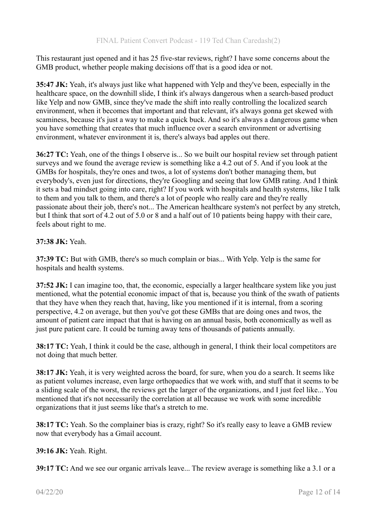This restaurant just opened and it has 25 five-star reviews, right? I have some concerns about the GMB product, whether people making decisions off that is a good idea or not.

**35:47 JK:** Yeah, it's always just like what happened with Yelp and they've been, especially in the healthcare space, on the downhill slide, I think it's always dangerous when a search-based product like Yelp and now GMB, since they've made the shift into really controlling the localized search environment, when it becomes that important and that relevant, it's always gonna get skewed with scaminess, because it's just a way to make a quick buck. And so it's always a dangerous game when you have something that creates that much influence over a search environment or advertising environment, whatever environment it is, there's always bad apples out there.

**36:27 TC:** Yeah, one of the things I observe is... So we built our hospital review set through patient surveys and we found the average review is something like a 4.2 out of 5. And if you look at the GMBs for hospitals, they're ones and twos, a lot of systems don't bother managing them, but everybody's, even just for directions, they're Googling and seeing that low GMB rating. And I think it sets a bad mindset going into care, right? If you work with hospitals and health systems, like I talk to them and you talk to them, and there's a lot of people who really care and they're really passionate about their job, there's not... The American healthcare system's not perfect by any stretch, but I think that sort of 4.2 out of 5.0 or 8 and a half out of 10 patients being happy with their care, feels about right to me.

## **37:38 JK:** Yeah.

**37:39 TC:** But with GMB, there's so much complain or bias... With Yelp. Yelp is the same for hospitals and health systems.

**37:52 JK:** I can imagine too, that, the economic, especially a larger healthcare system like you just mentioned, what the potential economic impact of that is, because you think of the swath of patients that they have when they reach that, having, like you mentioned if it is internal, from a scoring perspective, 4.2 on average, but then you've got these GMBs that are doing ones and twos, the amount of patient care impact that that is having on an annual basis, both economically as well as just pure patient care. It could be turning away tens of thousands of patients annually.

**38:17 TC:** Yeah, I think it could be the case, although in general, I think their local competitors are not doing that much better.

**38:17 JK:** Yeah, it is very weighted across the board, for sure, when you do a search. It seems like as patient volumes increase, even large orthopaedics that we work with, and stuff that it seems to be a sliding scale of the worst, the reviews get the larger of the organizations, and I just feel like... You mentioned that it's not necessarily the correlation at all because we work with some incredible organizations that it just seems like that's a stretch to me.

**38:17 TC:** Yeah. So the complainer bias is crazy, right? So it's really easy to leave a GMB review now that everybody has a Gmail account.

## **39:16 JK:** Yeah. Right.

**39:17 TC:** And we see our organic arrivals leave... The review average is something like a 3.1 or a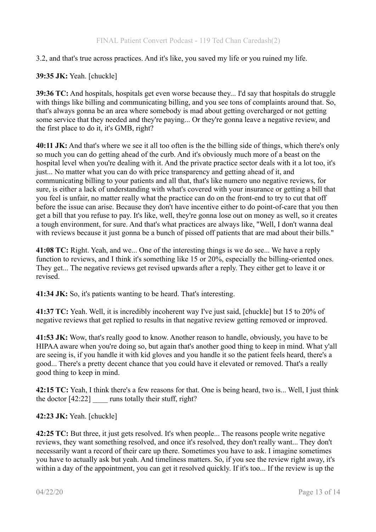## 3.2, and that's true across practices. And it's like, you saved my life or you ruined my life.

## **39:35 JK:** Yeah. [chuckle]

**39:36 TC:** And hospitals, hospitals get even worse because they... I'd say that hospitals do struggle with things like billing and communicating billing, and you see tons of complaints around that. So, that's always gonna be an area where somebody is mad about getting overcharged or not getting some service that they needed and they're paying... Or they're gonna leave a negative review, and the first place to do it, it's GMB, right?

**40:11 JK:** And that's where we see it all too often is the the billing side of things, which there's only so much you can do getting ahead of the curb. And it's obviously much more of a beast on the hospital level when you're dealing with it. And the private practice sector deals with it a lot too, it's just... No matter what you can do with price transparency and getting ahead of it, and communicating billing to your patients and all that, that's like numero uno negative reviews, for sure, is either a lack of understanding with what's covered with your insurance or getting a bill that you feel is unfair, no matter really what the practice can do on the front-end to try to cut that off before the issue can arise. Because they don't have incentive either to do point-of-care that you then get a bill that you refuse to pay. It's like, well, they're gonna lose out on money as well, so it creates a tough environment, for sure. And that's what practices are always like, "Well, I don't wanna deal with reviews because it just gonna be a bunch of pissed off patients that are mad about their bills."

**41:08 TC:** Right. Yeah, and we... One of the interesting things is we do see... We have a reply function to reviews, and I think it's something like 15 or 20%, especially the billing-oriented ones. They get... The negative reviews get revised upwards after a reply. They either get to leave it or revised.

**41:34 JK:** So, it's patients wanting to be heard. That's interesting.

**41:37 TC:** Yeah. Well, it is incredibly incoherent way I've just said, [chuckle] but 15 to 20% of negative reviews that get replied to results in that negative review getting removed or improved.

**41:53 JK:** Wow, that's really good to know. Another reason to handle, obviously, you have to be HIPAA aware when you're doing so, but again that's another good thing to keep in mind. What y'all are seeing is, if you handle it with kid gloves and you handle it so the patient feels heard, there's a good... There's a pretty decent chance that you could have it elevated or removed. That's a really good thing to keep in mind.

**42:15 TC:** Yeah, I think there's a few reasons for that. One is being heard, two is... Well, I just think the doctor  $[42:22]$  runs totally their stuff, right?

## **42:23 JK:** Yeah. [chuckle]

**42:25 TC:** But three, it just gets resolved. It's when people... The reasons people write negative reviews, they want something resolved, and once it's resolved, they don't really want... They don't necessarily want a record of their care up there. Sometimes you have to ask. I imagine sometimes you have to actually ask but yeah. And timeliness matters. So, if you see the review right away, it's within a day of the appointment, you can get it resolved quickly. If it's too... If the review is up the